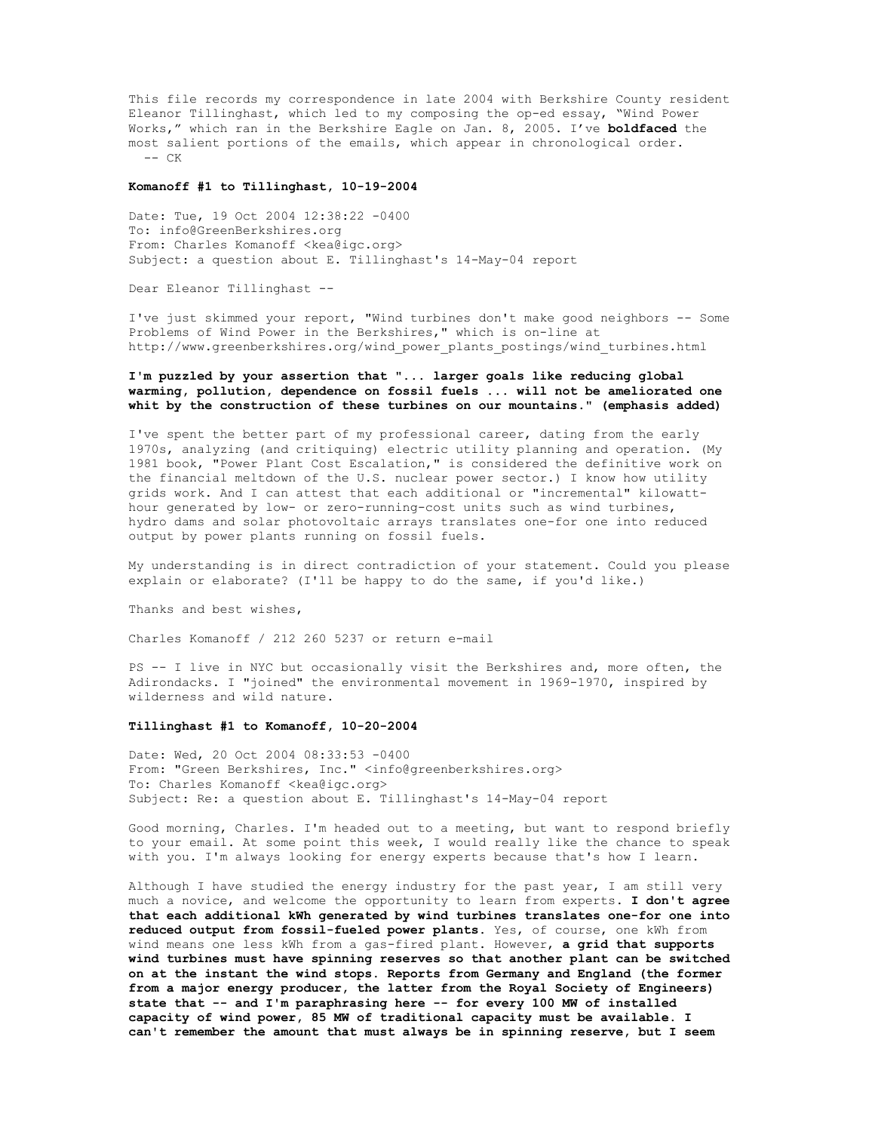This file records my correspondence in late 2004 with Berkshire County resident Eleanor Tillinghast, which led to my composing the op-ed essay, "Wind Power Works," which ran in the Berkshire Eagle on Jan. 8, 2005. I've **boldfaced** the most salient portions of the emails, which appear in chronological order.  $--$  CK

## **Komanoff #1 to Tillinghast, 10-19-2004**

Date: Tue, 19 Oct 2004 12:38:22 -0400 To: info@GreenBerkshires.org From: Charles Komanoff <kea@igc.org> Subject: a question about E. Tillinghast's 14-May-04 report

Dear Eleanor Tillinghast --

I've just skimmed your report, "Wind turbines don't make good neighbors -- Some Problems of Wind Power in the Berkshires," which is on-line at http://www.greenberkshires.org/wind\_power\_plants\_postings/wind\_turbines.html

# **I'm puzzled by your assertion that "... larger goals like reducing global warming, pollution, dependence on fossil fuels ... will not be ameliorated one whit by the construction of these turbines on our mountains." (emphasis added)**

I've spent the better part of my professional career, dating from the early 1970s, analyzing (and critiquing) electric utility planning and operation. (My 1981 book, "Power Plant Cost Escalation," is considered the definitive work on the financial meltdown of the U.S. nuclear power sector.) I know how utility grids work. And I can attest that each additional or "incremental" kilowatthour generated by low- or zero-running-cost units such as wind turbines, hydro dams and solar photovoltaic arrays translates one-for one into reduced output by power plants running on fossil fuels.

My understanding is in direct contradiction of your statement. Could you please explain or elaborate? (I'll be happy to do the same, if you'd like.)

Thanks and best wishes,

Charles Komanoff / 212 260 5237 or return e-mail

PS -- I live in NYC but occasionally visit the Berkshires and, more often, the Adirondacks. I "joined" the environmental movement in 1969-1970, inspired by wilderness and wild nature.

#### **Tillinghast #1 to Komanoff, 10-20-2004**

Date: Wed, 20 Oct 2004 08:33:53 -0400 From: "Green Berkshires, Inc." <info@greenberkshires.org> To: Charles Komanoff <kea@igc.org> Subject: Re: a question about E. Tillinghast's 14-May-04 report

Good morning, Charles. I'm headed out to a meeting, but want to respond briefly to your email. At some point this week, I would really like the chance to speak with you. I'm always looking for energy experts because that's how I learn.

Although I have studied the energy industry for the past year, I am still very much a novice, and welcome the opportunity to learn from experts. **I don't agree that each additional kWh generated by wind turbines translates one-for one into reduced output from fossil-fueled power plants.** Yes, of course, one kWh from wind means one less kWh from a gas-fired plant. However, **a grid that supports wind turbines must have spinning reserves so that another plant can be switched on at the instant the wind stops. Reports from Germany and England (the former from a major energy producer, the latter from the Royal Society of Engineers) state that -- and I'm paraphrasing here -- for every 100 MW of installed capacity of wind power, 85 MW of traditional capacity must be available. I can't remember the amount that must always be in spinning reserve, but I seem**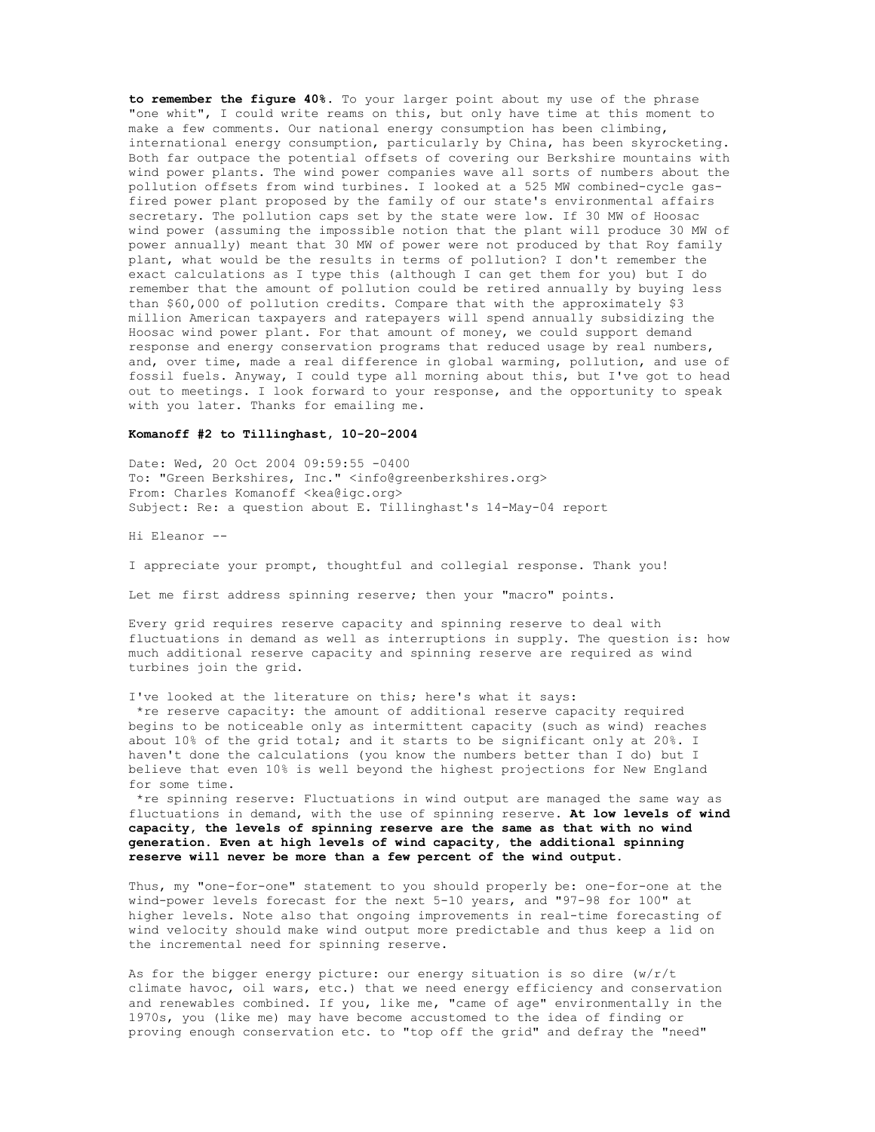**to remember the figure 40%.** To your larger point about my use of the phrase "one whit", I could write reams on this, but only have time at this moment to make a few comments. Our national energy consumption has been climbing, international energy consumption, particularly by China, has been skyrocketing. Both far outpace the potential offsets of covering our Berkshire mountains with wind power plants. The wind power companies wave all sorts of numbers about the pollution offsets from wind turbines. I looked at a 525 MW combined-cycle gasfired power plant proposed by the family of our state's environmental affairs secretary. The pollution caps set by the state were low. If 30 MW of Hoosac wind power (assuming the impossible notion that the plant will produce 30 MW of power annually) meant that 30 MW of power were not produced by that Roy family plant, what would be the results in terms of pollution? I don't remember the exact calculations as I type this (although I can get them for you) but I do remember that the amount of pollution could be retired annually by buying less than \$60,000 of pollution credits. Compare that with the approximately \$3 million American taxpayers and ratepayers will spend annually subsidizing the Hoosac wind power plant. For that amount of money, we could support demand response and energy conservation programs that reduced usage by real numbers, and, over time, made a real difference in global warming, pollution, and use of fossil fuels. Anyway, I could type all morning about this, but I've got to head out to meetings. I look forward to your response, and the opportunity to speak with you later. Thanks for emailing me.

## **Komanoff #2 to Tillinghast, 10-20-2004**

Date: Wed, 20 Oct 2004 09:59:55 -0400 To: "Green Berkshires, Inc." <info@greenberkshires.org> From: Charles Komanoff <kea@igc.org> Subject: Re: a question about E. Tillinghast's 14-May-04 report

Hi Eleanor --

I appreciate your prompt, thoughtful and collegial response. Thank you!

Let me first address spinning reserve; then your "macro" points.

Every grid requires reserve capacity and spinning reserve to deal with fluctuations in demand as well as interruptions in supply. The question is: how much additional reserve capacity and spinning reserve are required as wind turbines join the grid.

I've looked at the literature on this; here's what it says: \*re reserve capacity: the amount of additional reserve capacity required begins to be noticeable only as intermittent capacity (such as wind) reaches about 10% of the grid total; and it starts to be significant only at 20%. I haven't done the calculations (you know the numbers better than I do) but I believe that even 10% is well beyond the highest projections for New England for some time.

 \*re spinning reserve: Fluctuations in wind output are managed the same way as fluctuations in demand, with the use of spinning reserve. **At low levels of wind capacity, the levels of spinning reserve are the same as that with no wind generation. Even at high levels of wind capacity, the additional spinning reserve will never be more than a few percent of the wind output.**

Thus, my "one-for-one" statement to you should properly be: one-for-one at the wind-power levels forecast for the next 5-10 years, and "97-98 for 100" at higher levels. Note also that ongoing improvements in real-time forecasting of wind velocity should make wind output more predictable and thus keep a lid on the incremental need for spinning reserve.

As for the bigger energy picture: our energy situation is so dire (w/r/t climate havoc, oil wars, etc.) that we need energy efficiency and conservation and renewables combined. If you, like me, "came of age" environmentally in the 1970s, you (like me) may have become accustomed to the idea of finding or proving enough conservation etc. to "top off the grid" and defray the "need"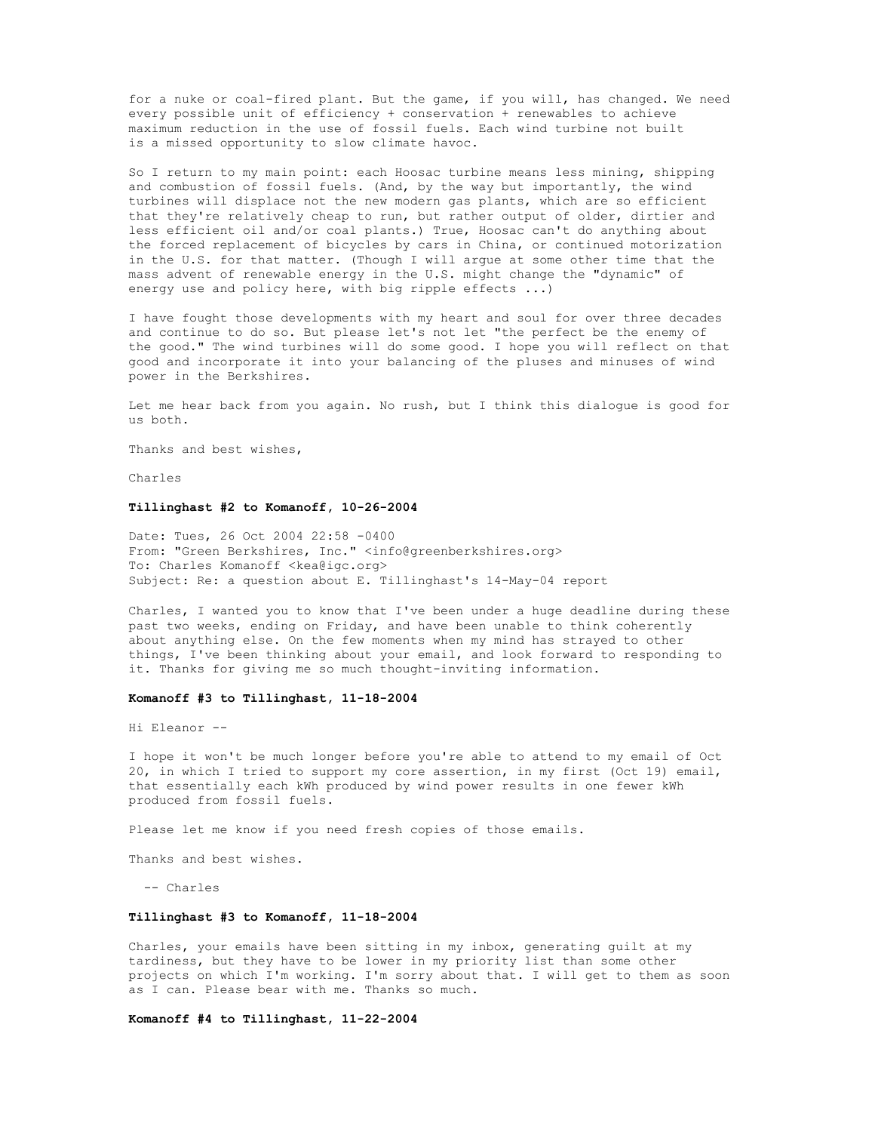for a nuke or coal-fired plant. But the game, if you will, has changed. We need every possible unit of efficiency + conservation + renewables to achieve maximum reduction in the use of fossil fuels. Each wind turbine not built is a missed opportunity to slow climate havoc.

So I return to my main point: each Hoosac turbine means less mining, shipping and combustion of fossil fuels. (And, by the way but importantly, the wind turbines will displace not the new modern gas plants, which are so efficient that they're relatively cheap to run, but rather output of older, dirtier and less efficient oil and/or coal plants.) True, Hoosac can't do anything about the forced replacement of bicycles by cars in China, or continued motorization in the U.S. for that matter. (Though I will argue at some other time that the mass advent of renewable energy in the U.S. might change the "dynamic" of energy use and policy here, with big ripple effects ...)

I have fought those developments with my heart and soul for over three decades and continue to do so. But please let's not let "the perfect be the enemy of the good." The wind turbines will do some good. I hope you will reflect on that good and incorporate it into your balancing of the pluses and minuses of wind power in the Berkshires.

Let me hear back from you again. No rush, but I think this dialogue is good for us both.

Thanks and best wishes,

Charles

### **Tillinghast #2 to Komanoff, 10-26-2004**

Date: Tues, 26 Oct 2004 22:58 -0400 From: "Green Berkshires, Inc." <info@greenberkshires.org> To: Charles Komanoff <kea@igc.org> Subject: Re: a question about E. Tillinghast's 14-May-04 report

Charles, I wanted you to know that I've been under a huge deadline during these past two weeks, ending on Friday, and have been unable to think coherently about anything else. On the few moments when my mind has strayed to other things, I've been thinking about your email, and look forward to responding to it. Thanks for giving me so much thought-inviting information.

## **Komanoff #3 to Tillinghast, 11-18-2004**

Hi Eleanor --

I hope it won't be much longer before you're able to attend to my email of Oct 20, in which I tried to support my core assertion, in my first (Oct 19) email, that essentially each kWh produced by wind power results in one fewer kWh produced from fossil fuels.

Please let me know if you need fresh copies of those emails.

Thanks and best wishes.

-- Charles

#### **Tillinghast #3 to Komanoff, 11-18-2004**

Charles, your emails have been sitting in my inbox, generating guilt at my tardiness, but they have to be lower in my priority list than some other projects on which I'm working. I'm sorry about that. I will get to them as soon as I can. Please bear with me. Thanks so much.

**Komanoff #4 to Tillinghast, 11-22-2004**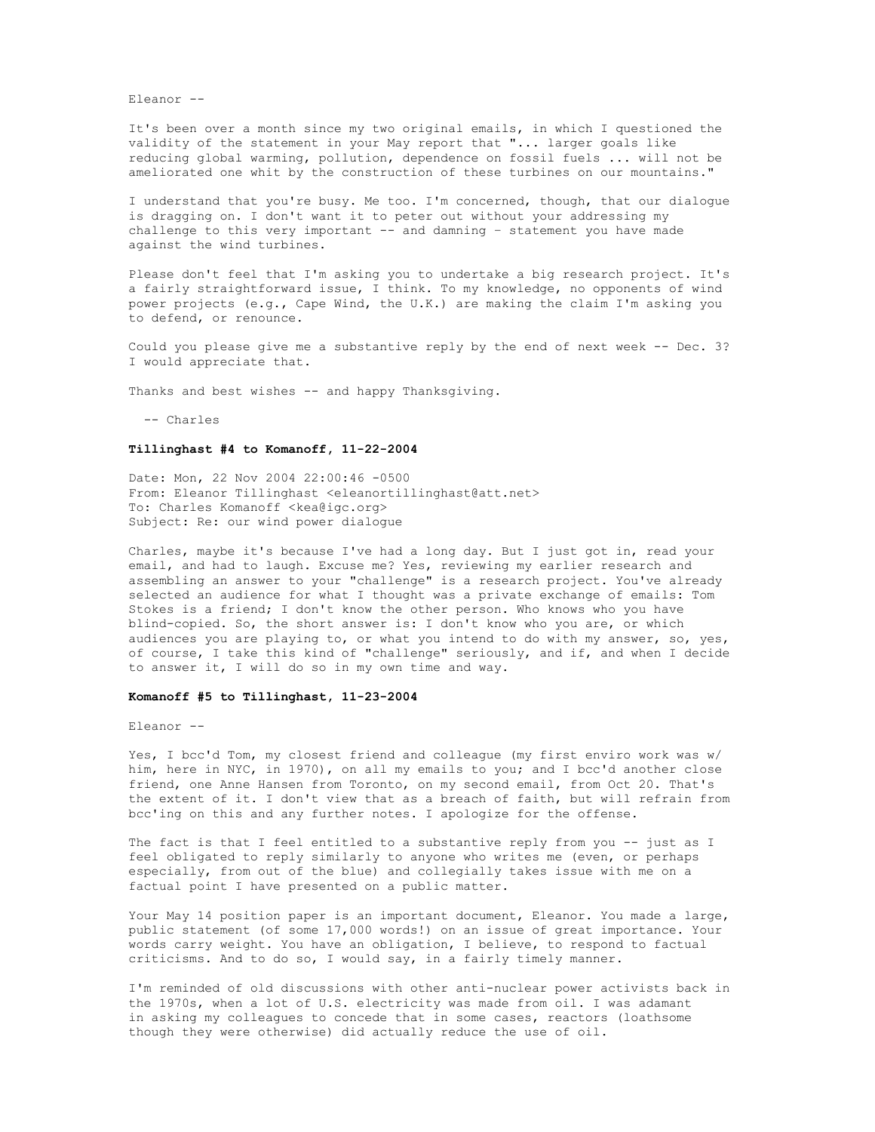Eleanor --

It's been over a month since my two original emails, in which I questioned the validity of the statement in your May report that "... larger goals like reducing global warming, pollution, dependence on fossil fuels ... will not be ameliorated one whit by the construction of these turbines on our mountains."

I understand that you're busy. Me too. I'm concerned, though, that our dialogue is dragging on. I don't want it to peter out without your addressing my challenge to this very important  $-$ - and damning  $-$  statement you have made against the wind turbines.

Please don't feel that I'm asking you to undertake a big research project. It's a fairly straightforward issue, I think. To my knowledge, no opponents of wind power projects (e.g., Cape Wind, the U.K.) are making the claim I'm asking you to defend, or renounce.

Could you please give me a substantive reply by the end of next week -- Dec. 3? I would appreciate that.

Thanks and best wishes -- and happy Thanksgiving.

-- Charles

# **Tillinghast #4 to Komanoff, 11-22-2004**

Date: Mon, 22 Nov 2004 22:00:46 -0500 From: Eleanor Tillinghast <eleanortillinghast@att.net> To: Charles Komanoff <kea@igc.org> Subject: Re: our wind power dialogue

Charles, maybe it's because I've had a long day. But I just got in, read your email, and had to laugh. Excuse me? Yes, reviewing my earlier research and assembling an answer to your "challenge" is a research project. You've already selected an audience for what I thought was a private exchange of emails: Tom Stokes is a friend; I don't know the other person. Who knows who you have blind-copied. So, the short answer is: I don't know who you are, or which audiences you are playing to, or what you intend to do with my answer, so, yes, of course, I take this kind of "challenge" seriously, and if, and when I decide to answer it, I will do so in my own time and way.

#### **Komanoff #5 to Tillinghast, 11-23-2004**

Eleanor --

Yes, I bcc'd Tom, my closest friend and colleague (my first enviro work was w/ him, here in NYC, in 1970), on all my emails to you; and I bcc'd another close friend, one Anne Hansen from Toronto, on my second email, from Oct 20. That's the extent of it. I don't view that as a breach of faith, but will refrain from bcc'ing on this and any further notes. I apologize for the offense.

The fact is that I feel entitled to a substantive reply from you -- just as I feel obligated to reply similarly to anyone who writes me (even, or perhaps especially, from out of the blue) and collegially takes issue with me on a factual point I have presented on a public matter.

Your May 14 position paper is an important document, Eleanor. You made a large, public statement (of some 17,000 words!) on an issue of great importance. Your words carry weight. You have an obligation, I believe, to respond to factual criticisms. And to do so, I would say, in a fairly timely manner.

I'm reminded of old discussions with other anti-nuclear power activists back in the 1970s, when a lot of U.S. electricity was made from oil. I was adamant in asking my colleagues to concede that in some cases, reactors (loathsome though they were otherwise) did actually reduce the use of oil.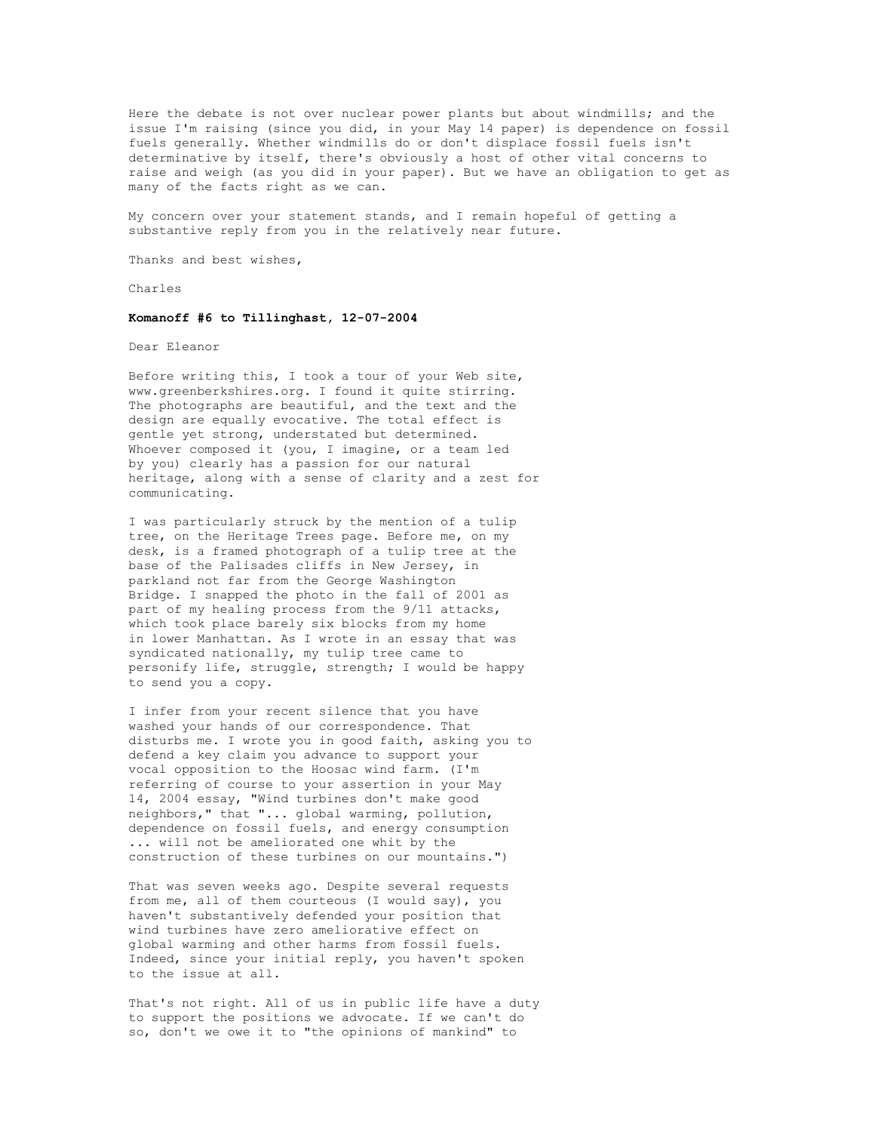Here the debate is not over nuclear power plants but about windmills; and the issue I'm raising (since you did, in your May 14 paper) is dependence on fossil fuels generally. Whether windmills do or don't displace fossil fuels isn't determinative by itself, there's obviously a host of other vital concerns to raise and weigh (as you did in your paper). But we have an obligation to get as many of the facts right as we can.

My concern over your statement stands, and I remain hopeful of getting a substantive reply from you in the relatively near future.

Thanks and best wishes,

Charles

### **Komanoff #6 to Tillinghast, 12-07-2004**

Dear Eleanor

Before writing this, I took a tour of your Web site, www.greenberkshires.org. I found it quite stirring. The photographs are beautiful, and the text and the design are equally evocative. The total effect is gentle yet strong, understated but determined. Whoever composed it (you, I imagine, or a team led by you) clearly has a passion for our natural heritage, along with a sense of clarity and a zest for communicating.

I was particularly struck by the mention of a tulip tree, on the Heritage Trees page. Before me, on my desk, is a framed photograph of a tulip tree at the base of the Palisades cliffs in New Jersey, in parkland not far from the George Washington Bridge. I snapped the photo in the fall of 2001 as part of my healing process from the 9/11 attacks, which took place barely six blocks from my home in lower Manhattan. As I wrote in an essay that was syndicated nationally, my tulip tree came to personify life, struggle, strength; I would be happy to send you a copy.

I infer from your recent silence that you have washed your hands of our correspondence. That disturbs me. I wrote you in good faith, asking you to defend a key claim you advance to support your vocal opposition to the Hoosac wind farm. (I'm referring of course to your assertion in your May 14, 2004 essay, "Wind turbines don't make good neighbors," that "... global warming, pollution, dependence on fossil fuels, and energy consumption ... will not be ameliorated one whit by the construction of these turbines on our mountains.")

That was seven weeks ago. Despite several requests from me, all of them courteous (I would say), you haven't substantively defended your position that wind turbines have zero ameliorative effect on global warming and other harms from fossil fuels. Indeed, since your initial reply, you haven't spoken to the issue at all.

That's not right. All of us in public life have a duty to support the positions we advocate. If we can't do so, don't we owe it to "the opinions of mankind" to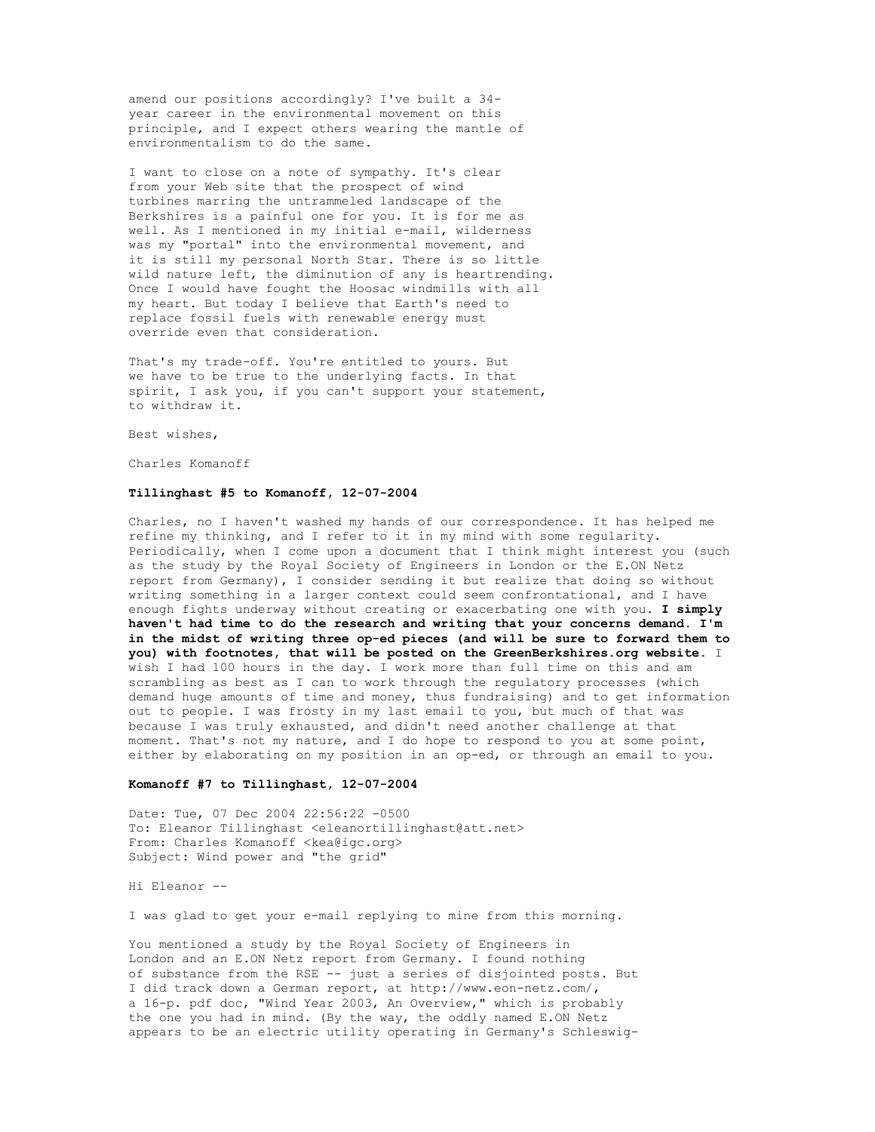amend our positions accordingly? I've built a 34 year career in the environmental movement on this principle, and I expect others wearing the mantle of environmentalism to do the same.

I want to close on a note of sympathy. It's clear from your Web site that the prospect of wind turbines marring the untrammeled landscape of the Berkshires is a painful one for you. It is for me as well. As I mentioned in my initial e-mail, wilderness was my "portal" into the environmental movement, and it is still my personal North Star. There is so little wild nature left, the diminution of any is heartrending. Once I would have fought the Hoosac windmills with all my heart. But today I believe that Earth's need to replace fossil fuels with renewable energy must override even that consideration.

That's my trade-off. You're entitled to yours. But we have to be true to the underlying facts. In that spirit, I ask you, if you can't support your statement, to withdraw it.

Best wishes,

Charles Komanoff

### **Tillinghast #5 to Komanoff, 12-07-2004**

Charles, no I haven't washed my hands of our correspondence. It has helped me refine my thinking, and I refer to it in my mind with some regularity. Periodically, when I come upon a document that I think might interest you (such as the study by the Royal Society of Engineers in London or the E.ON Netz report from Germany), I consider sending it but realize that doing so without writing something in a larger context could seem confrontational, and I have enough fights underway without creating or exacerbating one with you. **I simply haven't had time to do the research and writing that your concerns demand. I'm in the midst of writing three op-ed pieces (and will be sure to forward them to you) with footnotes, that will be posted on the GreenBerkshires.org website.** I wish I had 100 hours in the day. I work more than full time on this and am scrambling as best as I can to work through the regulatory processes (which demand huge amounts of time and money, thus fundraising) and to get information out to people. I was frosty in my last email to you, but much of that was because I was truly exhausted, and didn't need another challenge at that moment. That's not my nature, and I do hope to respond to you at some point, either by elaborating on my position in an op-ed, or through an email to you.

#### **Komanoff #7 to Tillinghast, 12-07-2004**

Date: Tue, 07 Dec 2004 22:56:22 -0500 To: Eleanor Tillinghast <eleanortillinghast@att.net> From: Charles Komanoff <kea@igc.org> Subject: Wind power and "the grid"

Hi Eleanor --

I was glad to get your e-mail replying to mine from this morning.

You mentioned a study by the Royal Society of Engineers in London and an E.ON Netz report from Germany. I found nothing of substance from the RSE -- just a series of disjointed posts. But I did track down a German report, at http://www.eon-netz.com/, a 16-p. pdf doc, "Wind Year 2003, An Overview," which is probably the one you had in mind. (By the way, the oddly named E.ON Netz appears to be an electric utility operating in Germany's Schleswig